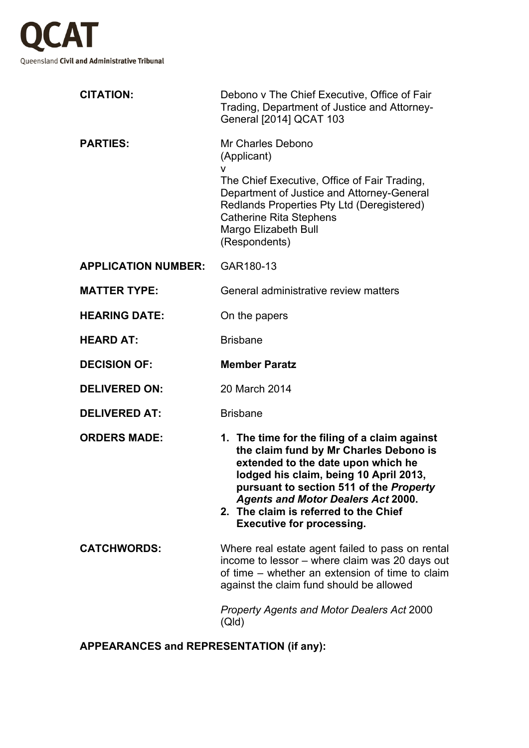

| <b>CITATION:</b>           | Debono v The Chief Executive, Office of Fair<br>Trading, Department of Justice and Attorney-<br>General [2014] QCAT 103                                                                                                                                                                                                                      |
|----------------------------|----------------------------------------------------------------------------------------------------------------------------------------------------------------------------------------------------------------------------------------------------------------------------------------------------------------------------------------------|
| <b>PARTIES:</b>            | Mr Charles Debono<br>(Applicant)<br>v<br>The Chief Executive, Office of Fair Trading,<br>Department of Justice and Attorney-General<br>Redlands Properties Pty Ltd (Deregistered)<br><b>Catherine Rita Stephens</b><br>Margo Elizabeth Bull<br>(Respondents)                                                                                 |
| <b>APPLICATION NUMBER:</b> | GAR180-13                                                                                                                                                                                                                                                                                                                                    |
| <b>MATTER TYPE:</b>        | General administrative review matters                                                                                                                                                                                                                                                                                                        |
| <b>HEARING DATE:</b>       | On the papers                                                                                                                                                                                                                                                                                                                                |
| <b>HEARD AT:</b>           | <b>Brisbane</b>                                                                                                                                                                                                                                                                                                                              |
| <b>DECISION OF:</b>        | <b>Member Paratz</b>                                                                                                                                                                                                                                                                                                                         |
| <b>DELIVERED ON:</b>       | 20 March 2014                                                                                                                                                                                                                                                                                                                                |
| <b>DELIVERED AT:</b>       | <b>Brisbane</b>                                                                                                                                                                                                                                                                                                                              |
| <b>ORDERS MADE:</b>        | 1. The time for the filing of a claim against<br>the claim fund by Mr Charles Debono is<br>extended to the date upon which he<br>lodged his claim, being 10 April 2013,<br>pursuant to section 511 of the Property<br><b>Agents and Motor Dealers Act 2000.</b><br>2. The claim is referred to the Chief<br><b>Executive for processing.</b> |
| <b>CATCHWORDS:</b>         | Where real estate agent failed to pass on rental<br>income to lessor – where claim was 20 days out<br>of time – whether an extension of time to claim                                                                                                                                                                                        |
|                            | against the claim fund should be allowed                                                                                                                                                                                                                                                                                                     |

**APPEARANCES and REPRESENTATION (if any):**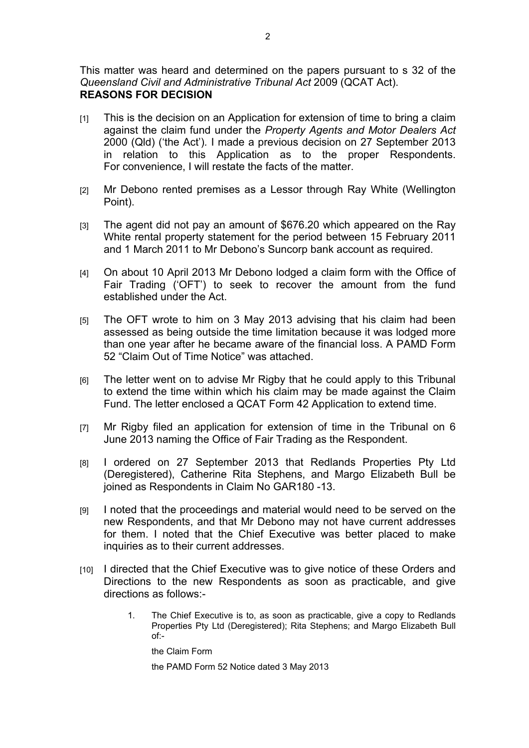This matter was heard and determined on the papers pursuant to s 32 of the *Queensland Civil and Administrative Tribunal Act* 2009 (QCAT Act). **REASONS FOR DECISION** 

- [1] This is the decision on an Application for extension of time to bring a claim against the claim fund under the *Property Agents and Motor Dealers Act*  2000 (Qld) ('the Act')*.* I made a previous decision on 27 September 2013 in relation to this Application as to the proper Respondents. For convenience, I will restate the facts of the matter.
- [2] Mr Debono rented premises as a Lessor through Ray White (Wellington Point).
- [3] The agent did not pay an amount of \$676.20 which appeared on the Ray White rental property statement for the period between 15 February 2011 and 1 March 2011 to Mr Debono's Suncorp bank account as required.
- [4] On about 10 April 2013 Mr Debono lodged a claim form with the Office of Fair Trading ('OFT') to seek to recover the amount from the fund established under the Act.
- [5] The OFT wrote to him on 3 May 2013 advising that his claim had been assessed as being outside the time limitation because it was lodged more than one year after he became aware of the financial loss. A PAMD Form 52 "Claim Out of Time Notice" was attached.
- [6] The letter went on to advise Mr Rigby that he could apply to this Tribunal to extend the time within which his claim may be made against the Claim Fund. The letter enclosed a QCAT Form 42 Application to extend time.
- [7] Mr Rigby filed an application for extension of time in the Tribunal on 6 June 2013 naming the Office of Fair Trading as the Respondent.
- [8] I ordered on 27 September 2013 that Redlands Properties Pty Ltd (Deregistered), Catherine Rita Stephens, and Margo Elizabeth Bull be joined as Respondents in Claim No GAR180 -13.
- [9] I noted that the proceedings and material would need to be served on the new Respondents, and that Mr Debono may not have current addresses for them. I noted that the Chief Executive was better placed to make inquiries as to their current addresses.
- [10] I directed that the Chief Executive was to give notice of these Orders and Directions to the new Respondents as soon as practicable, and give directions as follows:-
	- 1. The Chief Executive is to, as soon as practicable, give a copy to Redlands Properties Pty Ltd (Deregistered); Rita Stephens; and Margo Elizabeth Bull of:-

the Claim Form

the PAMD Form 52 Notice dated 3 May 2013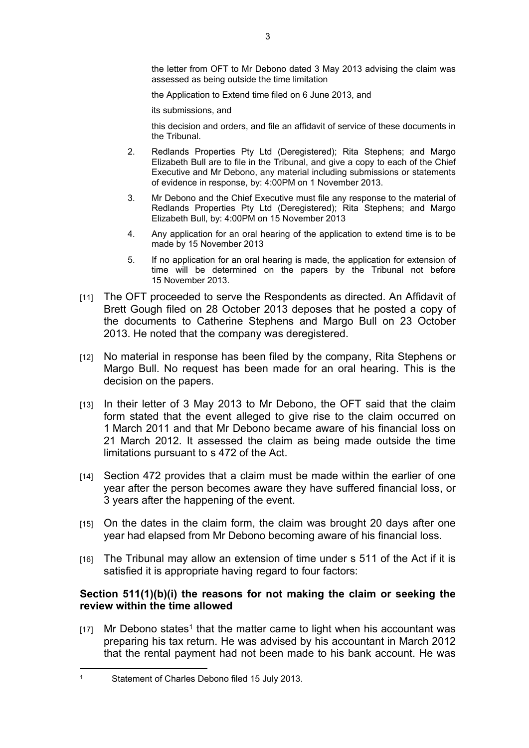the letter from OFT to Mr Debono dated 3 May 2013 advising the claim was assessed as being outside the time limitation

the Application to Extend time filed on 6 June 2013, and

its submissions, and

this decision and orders, and file an affidavit of service of these documents in the Tribunal.

- 2. Redlands Properties Pty Ltd (Deregistered); Rita Stephens; and Margo Elizabeth Bull are to file in the Tribunal, and give a copy to each of the Chief Executive and Mr Debono, any material including submissions or statements of evidence in response, by: 4:00PM on 1 November 2013.
- 3. Mr Debono and the Chief Executive must file any response to the material of Redlands Properties Pty Ltd (Deregistered); Rita Stephens; and Margo Elizabeth Bull, by: 4:00PM on 15 November 2013
- 4. Any application for an oral hearing of the application to extend time is to be made by 15 November 2013
- 5. If no application for an oral hearing is made, the application for extension of time will be determined on the papers by the Tribunal not before 15 November 2013.
- [11] The OFT proceeded to serve the Respondents as directed. An Affidavit of Brett Gough filed on 28 October 2013 deposes that he posted a copy of the documents to Catherine Stephens and Margo Bull on 23 October 2013. He noted that the company was deregistered.
- [12] No material in response has been filed by the company, Rita Stephens or Margo Bull. No request has been made for an oral hearing. This is the decision on the papers.
- [13] In their letter of 3 May 2013 to Mr Debono, the OFT said that the claim form stated that the event alleged to give rise to the claim occurred on 1 March 2011 and that Mr Debono became aware of his financial loss on 21 March 2012. It assessed the claim as being made outside the time limitations pursuant to s 472 of the Act.
- [14] Section 472 provides that a claim must be made within the earlier of one year after the person becomes aware they have suffered financial loss, or 3 years after the happening of the event.
- [15] On the dates in the claim form, the claim was brought 20 days after one year had elapsed from Mr Debono becoming aware of his financial loss.
- [16] The Tribunal may allow an extension of time under s 511 of the Act if it is satisfied it is appropriate having regard to four factors:

# **Section 511(1)(b)(i) the reasons for not making the claim or seeking the review within the time allowed**

 $[17]$  Mr Debono states<sup>1</sup> that the matter came to light when his accountant was preparing his tax return. He was advised by his accountant in March 2012 that the rental payment had not been made to his bank account. He was

<sup>1</sup> Statement of Charles Debono filed 15 July 2013.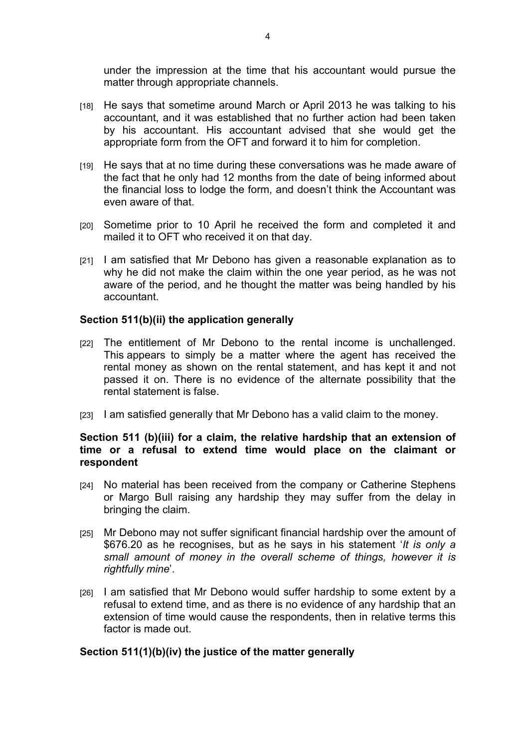under the impression at the time that his accountant would pursue the matter through appropriate channels.

- [18] He says that sometime around March or April 2013 he was talking to his accountant, and it was established that no further action had been taken by his accountant. His accountant advised that she would get the appropriate form from the OFT and forward it to him for completion.
- [19] He says that at no time during these conversations was he made aware of the fact that he only had 12 months from the date of being informed about the financial loss to lodge the form, and doesn't think the Accountant was even aware of that.
- [20] Sometime prior to 10 April he received the form and completed it and mailed it to OFT who received it on that day.
- [21] I am satisfied that Mr Debono has given a reasonable explanation as to why he did not make the claim within the one year period, as he was not aware of the period, and he thought the matter was being handled by his accountant.

#### **Section 511(b)(ii) the application generally**

- [22] The entitlement of Mr Debono to the rental income is unchallenged. This appears to simply be a matter where the agent has received the rental money as shown on the rental statement, and has kept it and not passed it on. There is no evidence of the alternate possibility that the rental statement is false.
- [23] I am satisfied generally that Mr Debono has a valid claim to the money.

# **Section 511 (b)(iii) for a claim, the relative hardship that an extension of time or a refusal to extend time would place on the claimant or respondent**

- [24] No material has been received from the company or Catherine Stephens or Margo Bull raising any hardship they may suffer from the delay in bringing the claim.
- [25] Mr Debono may not suffer significant financial hardship over the amount of \$676.20 as he recognises, but as he says in his statement '*It is only a small amount of money in the overall scheme of things, however it is rightfully mine*'.
- [26] I am satisfied that Mr Debono would suffer hardship to some extent by a refusal to extend time, and as there is no evidence of any hardship that an extension of time would cause the respondents, then in relative terms this factor is made out.

#### **Section 511(1)(b)(iv) the justice of the matter generally**